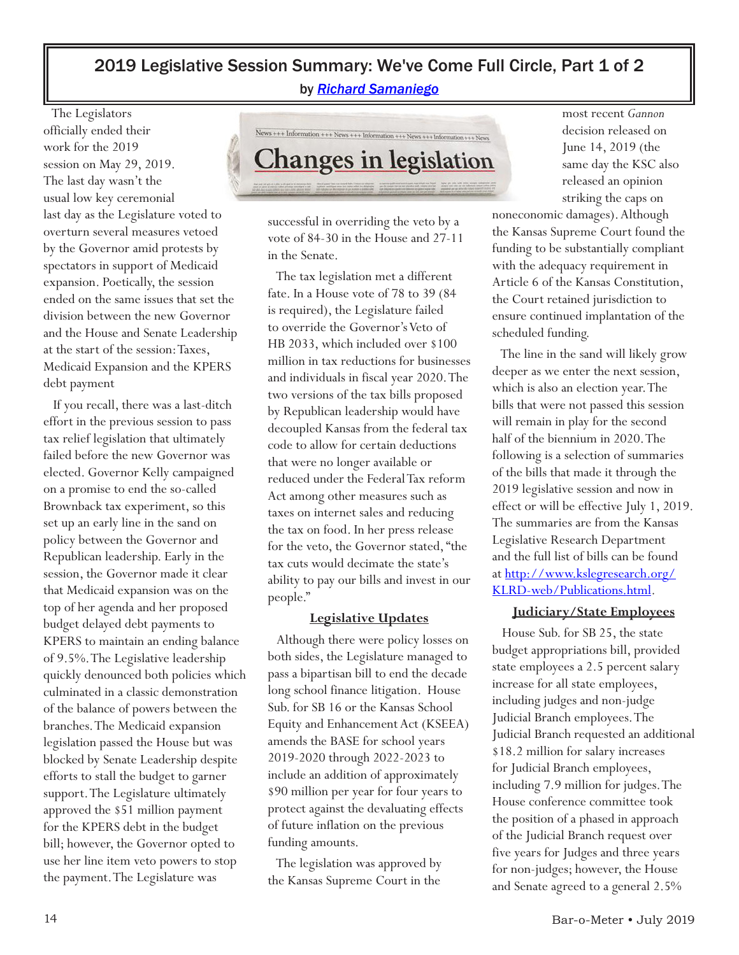# 2019 Legislative Session Summary: We've Come Full Circle, Part 1 of 2

by *[Richard Samaniego](mailto:Richard@gwmks.com)*

 The Legislators officially ended their work for the 2019 session on May 29, 2019. The last day wasn't the usual low key ceremonial last day as the Legislature voted to overturn several measures vetoed by the Governor amid protests by spectators in support of Medicaid expansion. Poetically, the session ended on the same issues that set the division between the new Governor and the House and Senate Leadership at the start of the session: Taxes, Medicaid Expansion and the KPERS debt payment

 If you recall, there was a last-ditch effort in the previous session to pass tax relief legislation that ultimately failed before the new Governor was elected. Governor Kelly campaigned on a promise to end the so-called Brownback tax experiment, so this set up an early line in the sand on policy between the Governor and Republican leadership. Early in the session, the Governor made it clear that Medicaid expansion was on the top of her agenda and her proposed budget delayed debt payments to KPERS to maintain an ending balance of 9.5%. The Legislative leadership quickly denounced both policies which culminated in a classic demonstration of the balance of powers between the branches. The Medicaid expansion legislation passed the House but was blocked by Senate Leadership despite efforts to stall the budget to garner support. The Legislature ultimately approved the \$51 million payment for the KPERS debt in the budget bill; however, the Governor opted to use her line item veto powers to stop the payment. The Legislature was



successful in overriding the veto by a vote of 84-30 in the House and 27-11 in the Senate.

 The tax legislation met a different fate. In a House vote of 78 to 39 (84 is required), the Legislature failed to override the Governor's Veto of HB 2033, which included over \$100 million in tax reductions for businesses and individuals in fiscal year 2020. The two versions of the tax bills proposed by Republican leadership would have decoupled Kansas from the federal tax code to allow for certain deductions that were no longer available or reduced under the Federal Tax reform Act among other measures such as taxes on internet sales and reducing the tax on food. In her press release for the veto, the Governor stated, "the tax cuts would decimate the state's ability to pay our bills and invest in our people."

#### **Legislative Updates**

 Although there were policy losses on both sides, the Legislature managed to pass a bipartisan bill to end the decade long school finance litigation. House Sub. for SB 16 or the Kansas School Equity and Enhancement Act (KSEEA) amends the BASE for school years 2019-2020 through 2022-2023 to include an addition of approximately \$90 million per year for four years to protect against the devaluating effects of future inflation on the previous funding amounts.

 The legislation was approved by the Kansas Supreme Court in the

most recent *Gannon* decision released on June 14, 2019 (the same day the KSC also released an opinion striking the caps on

noneconomic damages). Although the Kansas Supreme Court found the funding to be substantially compliant with the adequacy requirement in Article 6 of the Kansas Constitution, the Court retained jurisdiction to ensure continued implantation of the scheduled funding.

 The line in the sand will likely grow deeper as we enter the next session, which is also an election year. The bills that were not passed this session will remain in play for the second half of the biennium in 2020. The following is a selection of summaries of the bills that made it through the 2019 legislative session and now in effect or will be effective July 1, 2019. The summaries are from the Kansas Legislative Research Department and the full list of bills can be found [at http://www.kslegresearch.org/](http://www.kslegresearch.org/KLRD-web/Publications.html) KLRD-web/Publications.html.

#### **Judiciary/State Employees**

 House Sub. for SB 25, the state budget appropriations bill, provided state employees a 2.5 percent salary increase for all state employees, including judges and non-judge Judicial Branch employees. The Judicial Branch requested an additional \$18.2 million for salary increases for Judicial Branch employees, including 7.9 million for judges. The House conference committee took the position of a phased in approach of the Judicial Branch request over five years for Judges and three years for non-judges; however, the House and Senate agreed to a general 2.5%